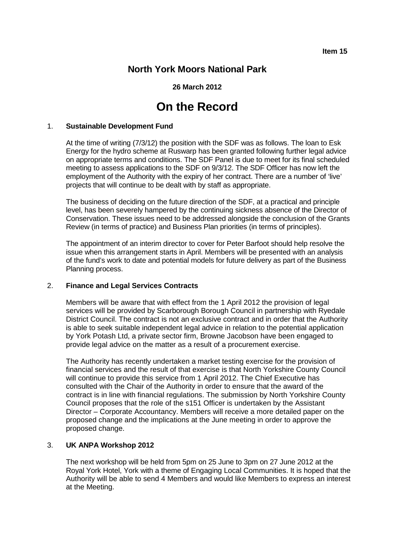**Item 15**

# **North York Moors National Park**

**26 March 2012**

# **On the Record**

#### 1. **Sustainable Development Fund**

At the time of writing (7/3/12) the position with the SDF was as follows. The loan to Esk Energy for the hydro scheme at Ruswarp has been granted following further legal advice on appropriate terms and conditions. The SDF Panel is due to meet for its final scheduled meeting to assess applications to the SDF on 9/3/12. The SDF Officer has now left the employment of the Authority with the expiry of her contract. There are a number of 'live' projects that will continue to be dealt with by staff as appropriate.

The business of deciding on the future direction of the SDF, at a practical and principle level, has been severely hampered by the continuing sickness absence of the Director of Conservation. These issues need to be addressed alongside the conclusion of the Grants Review (in terms of practice) and Business Plan priorities (in terms of principles).

The appointment of an interim director to cover for Peter Barfoot should help resolve the issue when this arrangement starts in April. Members will be presented with an analysis of the fund's work to date and potential models for future delivery as part of the Business Planning process.

# 2. **Finance and Legal Services Contracts**

Members will be aware that with effect from the 1 April 2012 the provision of legal services will be provided by Scarborough Borough Council in partnership with Ryedale District Council. The contract is not an exclusive contract and in order that the Authority is able to seek suitable independent legal advice in relation to the potential application by York Potash Ltd, a private sector firm, Browne Jacobson have been engaged to provide legal advice on the matter as a result of a procurement exercise.

The Authority has recently undertaken a market testing exercise for the provision of financial services and the result of that exercise is that North Yorkshire County Council will continue to provide this service from 1 April 2012. The Chief Executive has consulted with the Chair of the Authority in order to ensure that the award of the contract is in line with financial regulations. The submission by North Yorkshire County Council proposes that the role of the s151 Officer is undertaken by the Assistant Director – Corporate Accountancy. Members will receive a more detailed paper on the proposed change and the implications at the June meeting in order to approve the proposed change.

# 3. **UK ANPA Workshop 2012**

The next workshop will be held from 5pm on 25 June to 3pm on 27 June 2012 at the Royal York Hotel, York with a theme of Engaging Local Communities. It is hoped that the Authority will be able to send 4 Members and would like Members to express an interest at the Meeting.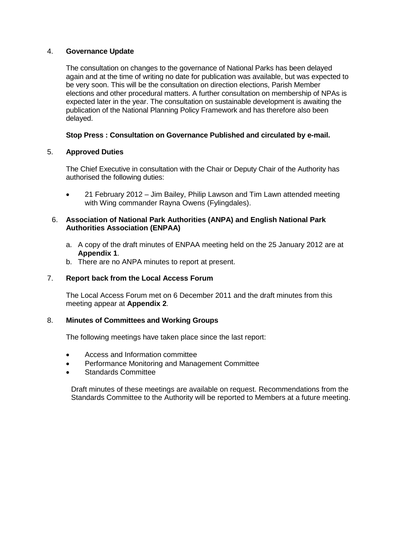# 4. **Governance Update**

The consultation on changes to the governance of National Parks has been delayed again and at the time of writing no date for publication was available, but was expected to be very soon. This will be the consultation on direction elections, Parish Member elections and other procedural matters. A further consultation on membership of NPAs is expected later in the year. The consultation on sustainable development is awaiting the publication of the National Planning Policy Framework and has therefore also been delayed.

# **Stop Press : Consultation on Governance Published and circulated by e-mail.**

# 5. **Approved Duties**

The Chief Executive in consultation with the Chair or Deputy Chair of the Authority has authorised the following duties:

• 21 February 2012 – Jim Bailey, Philip Lawson and Tim Lawn attended meeting with Wing commander Rayna Owens (Fylingdales).

# 6. **Association of National Park Authorities (ANPA) and English National Park Authorities Association (ENPAA)**

- a. A copy of the draft minutes of ENPAA meeting held on the 25 January 2012 are at **Appendix 1**.
- b. There are no ANPA minutes to report at present.

# 7. **Report back from the Local Access Forum**

The Local Access Forum met on 6 December 2011 and the draft minutes from this meeting appear at **Appendix 2**.

# 8. **Minutes of Committees and Working Groups**

The following meetings have taken place since the last report:

- Access and Information committee
- Performance Monitoring and Management Committee
- Standards Committee

Draft minutes of these meetings are available on request. Recommendations from the Standards Committee to the Authority will be reported to Members at a future meeting.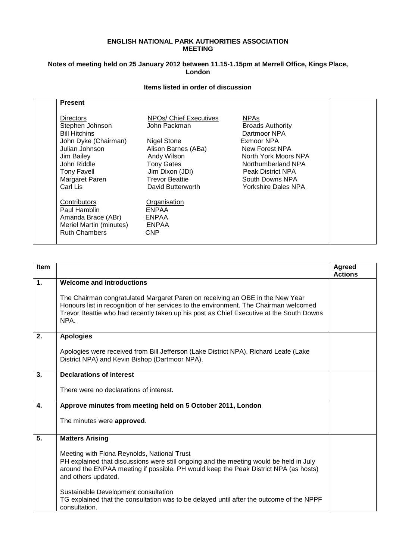#### **ENGLISH NATIONAL PARK AUTHORITIES ASSOCIATION MEETING**

#### **Notes of meeting held on 25 January 2012 between 11.15-1.15pm at Merrell Office, Kings Place, London**

# **Items listed in order of discussion**

| <b>Directors</b><br>NPOs/ Chief Executives<br><b>NPAs</b><br>Stephen Johnson<br>John Packman<br><b>Broads Authority</b> |  |
|-------------------------------------------------------------------------------------------------------------------------|--|
|                                                                                                                         |  |
|                                                                                                                         |  |
| <b>Bill Hitchins</b><br>Dartmoor NPA                                                                                    |  |
| John Dyke (Chairman)<br><b>Nigel Stone</b><br>Exmoor NPA                                                                |  |
| Julian Johnson<br>Alison Barnes (ABa)<br>New Forest NPA                                                                 |  |
| North York Moors NPA<br>Jim Bailey<br>Andy Wilson                                                                       |  |
| John Riddle<br><b>Tony Gates</b><br>Northumberland NPA                                                                  |  |
| Jim Dixon (JDi)<br><b>Tony Favell</b><br>Peak District NPA                                                              |  |
| <b>Trevor Beattie</b><br>Margaret Paren<br>South Downs NPA                                                              |  |
| Carl Lis<br><b>Yorkshire Dales NPA</b><br>David Butterworth                                                             |  |
| Contributors<br>Organisation                                                                                            |  |
| Paul Hamblin<br><b>ENPAA</b>                                                                                            |  |
| Amanda Brace (ABr)<br><b>ENPAA</b>                                                                                      |  |
| Meriel Martin (minutes)<br><b>ENPAA</b>                                                                                 |  |
| <b>Ruth Chambers</b><br><b>CNP</b>                                                                                      |  |

| Item         |                                                                                                                                                                                                                                                                                                                                                                                                                                     | Agreed<br><b>Actions</b> |
|--------------|-------------------------------------------------------------------------------------------------------------------------------------------------------------------------------------------------------------------------------------------------------------------------------------------------------------------------------------------------------------------------------------------------------------------------------------|--------------------------|
| $\mathbf{1}$ | <b>Welcome and introductions</b><br>The Chairman congratulated Margaret Paren on receiving an OBE in the New Year<br>Honours list in recognition of her services to the environment. The Chairman welcomed<br>Trevor Beattie who had recently taken up his post as Chief Executive at the South Downs                                                                                                                               |                          |
|              | NPA.                                                                                                                                                                                                                                                                                                                                                                                                                                |                          |
| 2.           | <b>Apologies</b><br>Apologies were received from Bill Jefferson (Lake District NPA), Richard Leafe (Lake<br>District NPA) and Kevin Bishop (Dartmoor NPA).                                                                                                                                                                                                                                                                          |                          |
| 3.           | <b>Declarations of interest</b><br>There were no declarations of interest.                                                                                                                                                                                                                                                                                                                                                          |                          |
| 4.           | Approve minutes from meeting held on 5 October 2011, London<br>The minutes were approved.                                                                                                                                                                                                                                                                                                                                           |                          |
| 5.           | <b>Matters Arising</b><br>Meeting with Fiona Reynolds, National Trust<br>PH explained that discussions were still ongoing and the meeting would be held in July<br>around the ENPAA meeting if possible. PH would keep the Peak District NPA (as hosts)<br>and others updated.<br>Sustainable Development consultation<br>TG explained that the consultation was to be delayed until after the outcome of the NPPF<br>consultation. |                          |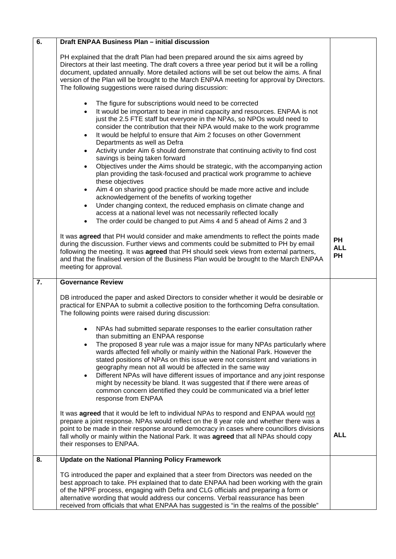| $\overline{6}$ . | Draft ENPAA Business Plan - initial discussion                                                                                                                                                                                                                                                                                                                                                                                                                                                                                                                                                                                                                                                                                                                                                                                                                                                                                                                                                                                                                                                                                                                  |                                      |
|------------------|-----------------------------------------------------------------------------------------------------------------------------------------------------------------------------------------------------------------------------------------------------------------------------------------------------------------------------------------------------------------------------------------------------------------------------------------------------------------------------------------------------------------------------------------------------------------------------------------------------------------------------------------------------------------------------------------------------------------------------------------------------------------------------------------------------------------------------------------------------------------------------------------------------------------------------------------------------------------------------------------------------------------------------------------------------------------------------------------------------------------------------------------------------------------|--------------------------------------|
|                  | PH explained that the draft Plan had been prepared around the six aims agreed by<br>Directors at their last meeting. The draft covers a three year period but it will be a rolling<br>document, updated annually. More detailed actions will be set out below the aims. A final<br>version of the Plan will be brought to the March ENPAA meeting for approval by Directors.<br>The following suggestions were raised during discussion:                                                                                                                                                                                                                                                                                                                                                                                                                                                                                                                                                                                                                                                                                                                        |                                      |
|                  | The figure for subscriptions would need to be corrected<br>$\bullet$<br>It would be important to bear in mind capacity and resources. ENPAA is not<br>$\bullet$<br>just the 2.5 FTE staff but everyone in the NPAs, so NPOs would need to<br>consider the contribution that their NPA would make to the work programme<br>It would be helpful to ensure that Aim 2 focuses on other Government<br>$\bullet$<br>Departments as well as Defra<br>Activity under Aim 6 should demonstrate that continuing activity to find cost<br>$\bullet$<br>savings is being taken forward<br>Objectives under the Aims should be strategic, with the accompanying action<br>$\bullet$<br>plan providing the task-focused and practical work programme to achieve<br>these objectives<br>Aim 4 on sharing good practice should be made more active and include<br>$\bullet$<br>acknowledgement of the benefits of working together<br>Under changing context, the reduced emphasis on climate change and<br>$\bullet$<br>access at a national level was not necessarily reflected locally<br>The order could be changed to put Aims 4 and 5 ahead of Aims 2 and 3<br>$\bullet$ |                                      |
|                  | It was agreed that PH would consider and make amendments to reflect the points made<br>during the discussion. Further views and comments could be submitted to PH by email<br>following the meeting. It was agreed that PH should seek views from external partners,<br>and that the finalised version of the Business Plan would be brought to the March ENPAA<br>meeting for approval.                                                                                                                                                                                                                                                                                                                                                                                                                                                                                                                                                                                                                                                                                                                                                                        | <b>PH</b><br><b>ALL</b><br><b>PH</b> |
| $\overline{7}$ . | <b>Governance Review</b>                                                                                                                                                                                                                                                                                                                                                                                                                                                                                                                                                                                                                                                                                                                                                                                                                                                                                                                                                                                                                                                                                                                                        |                                      |
|                  | DB introduced the paper and asked Directors to consider whether it would be desirable or<br>practical for ENPAA to submit a collective position to the forthcoming Defra consultation.<br>The following points were raised during discussion:<br>NPAs had submitted separate responses to the earlier consultation rather<br>than submitting an ENPAA response<br>The proposed 8 year rule was a major issue for many NPAs particularly where<br>wards affected fell wholly or mainly within the National Park. However the<br>stated positions of NPAs on this issue were not consistent and variations in<br>geography mean not all would be affected in the same way<br>Different NPAs will have different issues of importance and any joint response<br>$\bullet$<br>might by necessity be bland. It was suggested that if there were areas of<br>common concern identified they could be communicated via a brief letter<br>response from ENPAA                                                                                                                                                                                                           |                                      |
|                  | It was agreed that it would be left to individual NPAs to respond and ENPAA would not<br>prepare a joint response. NPAs would reflect on the 8 year role and whether there was a<br>point to be made in their response around democracy in cases where councillors divisions<br>fall wholly or mainly within the National Park. It was agreed that all NPAs should copy<br>their responses to ENPAA.                                                                                                                                                                                                                                                                                                                                                                                                                                                                                                                                                                                                                                                                                                                                                            | <b>ALL</b>                           |
| 8.               | <b>Update on the National Planning Policy Framework</b>                                                                                                                                                                                                                                                                                                                                                                                                                                                                                                                                                                                                                                                                                                                                                                                                                                                                                                                                                                                                                                                                                                         |                                      |
|                  | TG introduced the paper and explained that a steer from Directors was needed on the<br>best approach to take. PH explained that to date ENPAA had been working with the grain<br>of the NPPF process, engaging with Defra and CLG officials and preparing a form or<br>alternative wording that would address our concerns. Verbal reassurance has been<br>received from officials that what ENPAA has suggested is "in the realms of the possible"                                                                                                                                                                                                                                                                                                                                                                                                                                                                                                                                                                                                                                                                                                             |                                      |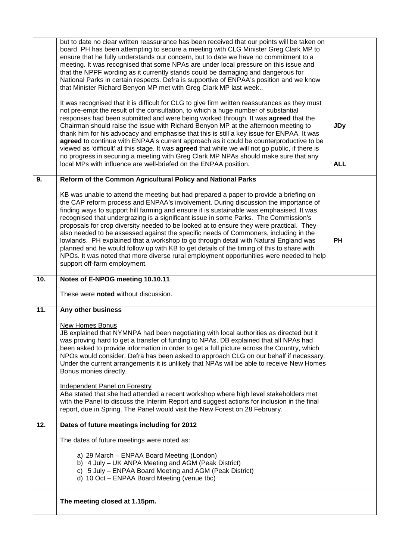|     | but to date no clear written reassurance has been received that our points will be taken on<br>board. PH has been attempting to secure a meeting with CLG Minister Greg Clark MP to<br>ensure that he fully understands our concern, but to date we have no commitment to a<br>meeting. It was recognised that some NPAs are under local pressure on this issue and<br>that the NPPF wording as it currently stands could be damaging and dangerous for<br>National Parks in certain respects. Defra is supportive of ENPAA's position and we know<br>that Minister Richard Benyon MP met with Greg Clark MP last week<br>It was recognised that it is difficult for CLG to give firm written reassurances as they must<br>not pre-empt the result of the consultation, to which a huge number of substantial<br>responses had been submitted and were being worked through. It was agreed that the<br>Chairman should raise the issue with Richard Benyon MP at the afternoon meeting to<br>thank him for his advocacy and emphasise that this is still a key issue for ENPAA. It was<br>agreed to continue with ENPAA's current approach as it could be counterproductive to be<br>viewed as 'difficult' at this stage. It was agreed that while we will not go public, if there is<br>no progress in securing a meeting with Greg Clark MP NPAs should make sure that any<br>local MPs with influence are well-briefed on the ENPAA position. | <b>JDy</b><br><b>ALL</b> |
|-----|--------------------------------------------------------------------------------------------------------------------------------------------------------------------------------------------------------------------------------------------------------------------------------------------------------------------------------------------------------------------------------------------------------------------------------------------------------------------------------------------------------------------------------------------------------------------------------------------------------------------------------------------------------------------------------------------------------------------------------------------------------------------------------------------------------------------------------------------------------------------------------------------------------------------------------------------------------------------------------------------------------------------------------------------------------------------------------------------------------------------------------------------------------------------------------------------------------------------------------------------------------------------------------------------------------------------------------------------------------------------------------------------------------------------------------------------------|--------------------------|
| 9.  | Reform of the Common Agricultural Policy and National Parks                                                                                                                                                                                                                                                                                                                                                                                                                                                                                                                                                                                                                                                                                                                                                                                                                                                                                                                                                                                                                                                                                                                                                                                                                                                                                                                                                                                      |                          |
|     | KB was unable to attend the meeting but had prepared a paper to provide a briefing on<br>the CAP reform process and ENPAA's involvement. During discussion the importance of<br>finding ways to support hill farming and ensure it is sustainable was emphasised. It was<br>recognised that undergrazing is a significant issue in some Parks. The Commission's<br>proposals for crop diversity needed to be looked at to ensure they were practical. They<br>also needed to be assessed against the specific needs of Commoners, including in the<br>lowlands. PH explained that a workshop to go through detail with Natural England was<br>planned and he would follow up with KB to get details of the timing of this to share with<br>NPOs. It was noted that more diverse rural employment opportunities were needed to help<br>support off-farm employment.                                                                                                                                                                                                                                                                                                                                                                                                                                                                                                                                                                               | <b>PH</b>                |
| 10. | Notes of E-NPOG meeting 10.10.11                                                                                                                                                                                                                                                                                                                                                                                                                                                                                                                                                                                                                                                                                                                                                                                                                                                                                                                                                                                                                                                                                                                                                                                                                                                                                                                                                                                                                 |                          |
|     |                                                                                                                                                                                                                                                                                                                                                                                                                                                                                                                                                                                                                                                                                                                                                                                                                                                                                                                                                                                                                                                                                                                                                                                                                                                                                                                                                                                                                                                  |                          |
|     | These were noted without discussion.                                                                                                                                                                                                                                                                                                                                                                                                                                                                                                                                                                                                                                                                                                                                                                                                                                                                                                                                                                                                                                                                                                                                                                                                                                                                                                                                                                                                             |                          |
| 11. | Any other business                                                                                                                                                                                                                                                                                                                                                                                                                                                                                                                                                                                                                                                                                                                                                                                                                                                                                                                                                                                                                                                                                                                                                                                                                                                                                                                                                                                                                               |                          |
|     | New Homes Bonus<br>JB explained that NYMNPA had been negotiating with local authorities as directed but it<br>was proving hard to get a transfer of funding to NPAs. DB explained that all NPAs had<br>been asked to provide information in order to get a full picture across the Country, which<br>NPOs would consider. Defra has been asked to approach CLG on our behalf if necessary.<br>Under the current arrangements it is unlikely that NPAs will be able to receive New Homes<br>Bonus monies directly.                                                                                                                                                                                                                                                                                                                                                                                                                                                                                                                                                                                                                                                                                                                                                                                                                                                                                                                                |                          |
|     | Independent Panel on Forestry<br>ABa stated that she had attended a recent workshop where high level stakeholders met<br>with the Panel to discuss the Interim Report and suggest actions for inclusion in the final<br>report, due in Spring. The Panel would visit the New Forest on 28 February.                                                                                                                                                                                                                                                                                                                                                                                                                                                                                                                                                                                                                                                                                                                                                                                                                                                                                                                                                                                                                                                                                                                                              |                          |
| 12. | Dates of future meetings including for 2012                                                                                                                                                                                                                                                                                                                                                                                                                                                                                                                                                                                                                                                                                                                                                                                                                                                                                                                                                                                                                                                                                                                                                                                                                                                                                                                                                                                                      |                          |
|     | The dates of future meetings were noted as:                                                                                                                                                                                                                                                                                                                                                                                                                                                                                                                                                                                                                                                                                                                                                                                                                                                                                                                                                                                                                                                                                                                                                                                                                                                                                                                                                                                                      |                          |
|     | a) 29 March - ENPAA Board Meeting (London)<br>b) 4 July – UK ANPA Meeting and AGM (Peak District)<br>c) 5 July – ENPAA Board Meeting and AGM (Peak District)<br>d) 10 Oct - ENPAA Board Meeting (venue tbc)                                                                                                                                                                                                                                                                                                                                                                                                                                                                                                                                                                                                                                                                                                                                                                                                                                                                                                                                                                                                                                                                                                                                                                                                                                      |                          |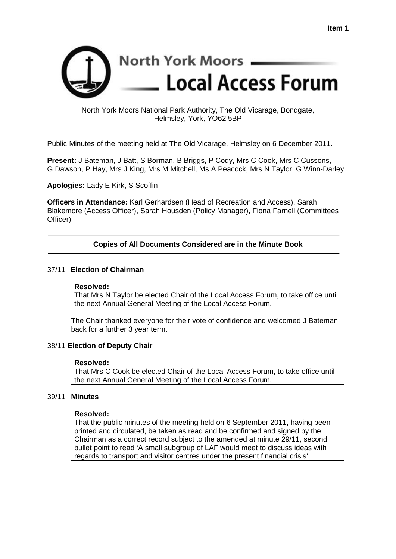

# North York Moors National Park Authority, The Old Vicarage, Bondgate, Helmsley, York, YO62 5BP

Public Minutes of the meeting held at The Old Vicarage, Helmsley on 6 December 2011.

**Present:** J Bateman, J Batt, S Borman, B Briggs, P Cody, Mrs C Cook, Mrs C Cussons, G Dawson, P Hay, Mrs J King, Mrs M Mitchell, Ms A Peacock, Mrs N Taylor, G Winn-Darley

**Apologies:** Lady E Kirk, S Scoffin

**Officers in Attendance:** Karl Gerhardsen (Head of Recreation and Access), Sarah Blakemore (Access Officer), Sarah Housden (Policy Manager), Fiona Farnell (Committees Officer)

# **Copies of All Documents Considered are in the Minute Book**

#### 37/11 **Election of Chairman**

#### **Resolved:**

That Mrs N Taylor be elected Chair of the Local Access Forum, to take office until the next Annual General Meeting of the Local Access Forum.

The Chair thanked everyone for their vote of confidence and welcomed J Bateman back for a further 3 year term.

#### 38/11 **Election of Deputy Chair**

#### **Resolved:**

That Mrs C Cook be elected Chair of the Local Access Forum, to take office until the next Annual General Meeting of the Local Access Forum.

#### 39/11 **Minutes**

#### **Resolved:**

That the public minutes of the meeting held on 6 September 2011, having been printed and circulated, be taken as read and be confirmed and signed by the Chairman as a correct record subject to the amended at minute 29/11, second bullet point to read 'A small subgroup of LAF would meet to discuss ideas with regards to transport and visitor centres under the present financial crisis'.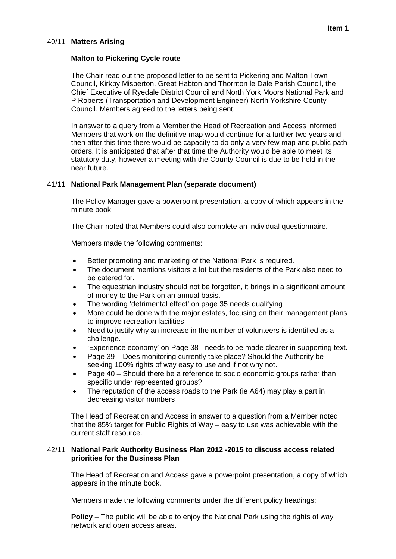#### 40/11 **Matters Arising**

#### **Malton to Pickering Cycle route**

The Chair read out the proposed letter to be sent to Pickering and Malton Town Council, Kirkby Misperton, Great Habton and Thornton le Dale Parish Council, the Chief Executive of Ryedale District Council and North York Moors National Park and P Roberts (Transportation and Development Engineer) North Yorkshire County Council. Members agreed to the letters being sent.

In answer to a query from a Member the Head of Recreation and Access informed Members that work on the definitive map would continue for a further two years and then after this time there would be capacity to do only a very few map and public path orders. It is anticipated that after that time the Authority would be able to meet its statutory duty, however a meeting with the County Council is due to be held in the near future.

# 41/11 **National Park Management Plan (separate document)**

The Policy Manager gave a powerpoint presentation, a copy of which appears in the minute book.

The Chair noted that Members could also complete an individual questionnaire.

Members made the following comments:

- Better promoting and marketing of the National Park is required.
- The document mentions visitors a lot but the residents of the Park also need to be catered for.
- The equestrian industry should not be forgotten, it brings in a significant amount of money to the Park on an annual basis.
- The wording 'detrimental effect' on page 35 needs qualifying
- More could be done with the major estates, focusing on their management plans to improve recreation facilities.
- Need to justify why an increase in the number of volunteers is identified as a challenge.
- 'Experience economy' on Page 38 needs to be made clearer in supporting text.
- Page 39 Does monitoring currently take place? Should the Authority be seeking 100% rights of way easy to use and if not why not.
- Page 40 Should there be a reference to socio economic groups rather than specific under represented groups?
- The reputation of the access roads to the Park (ie A64) may play a part in decreasing visitor numbers

The Head of Recreation and Access in answer to a question from a Member noted that the 85% target for Public Rights of Way – easy to use was achievable with the current staff resource.

#### 42/11 **National Park Authority Business Plan 2012 -2015 to discuss access related priorities for the Business Plan**

The Head of Recreation and Access gave a powerpoint presentation, a copy of which appears in the minute book.

Members made the following comments under the different policy headings:

**Policy** – The public will be able to enjoy the National Park using the rights of way network and open access areas.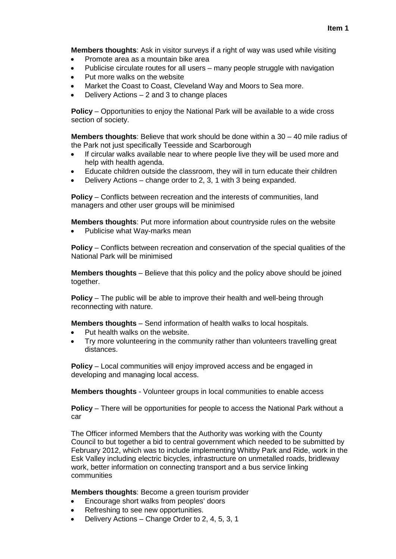**Members thoughts**: Ask in visitor surveys if a right of way was used while visiting

- Promote area as a mountain bike area
- Publicise circulate routes for all users many people struggle with navigation
- Put more walks on the website
- Market the Coast to Coast, Cleveland Way and Moors to Sea more.
- Delivery Actions 2 and 3 to change places

**Policy** – Opportunities to enjoy the National Park will be available to a wide cross section of society.

**Members thoughts**: Believe that work should be done within a 30 – 40 mile radius of the Park not just specifically Teesside and Scarborough

- If circular walks available near to where people live they will be used more and help with health agenda.
- Educate children outside the classroom, they will in turn educate their children
- Delivery Actions change order to 2, 3, 1 with 3 being expanded.

**Policy** – Conflicts between recreation and the interests of communities, land managers and other user groups will be minimised

**Members thoughts**: Put more information about countryside rules on the website

Publicise what Way-marks mean

**Policy** – Conflicts between recreation and conservation of the special qualities of the National Park will be minimised

**Members thoughts** – Believe that this policy and the policy above should be joined together.

**Policy** – The public will be able to improve their health and well-being through reconnecting with nature.

**Members thoughts** – Send information of health walks to local hospitals.

- Put health walks on the website.
- Try more volunteering in the community rather than volunteers travelling great distances.

**Policy** – Local communities will enjoy improved access and be engaged in developing and managing local access.

**Members thoughts** - Volunteer groups in local communities to enable access

**Policy** – There will be opportunities for people to access the National Park without a car

The Officer informed Members that the Authority was working with the County Council to but together a bid to central government which needed to be submitted by February 2012, which was to include implementing Whitby Park and Ride, work in the Esk Valley including electric bicycles, infrastructure on unmetalled roads, bridleway work, better information on connecting transport and a bus service linking communities

**Members thoughts**: Become a green tourism provider

- Encourage short walks from peoples' doors
- Refreshing to see new opportunities.
- Delivery Actions Change Order to 2, 4, 5, 3, 1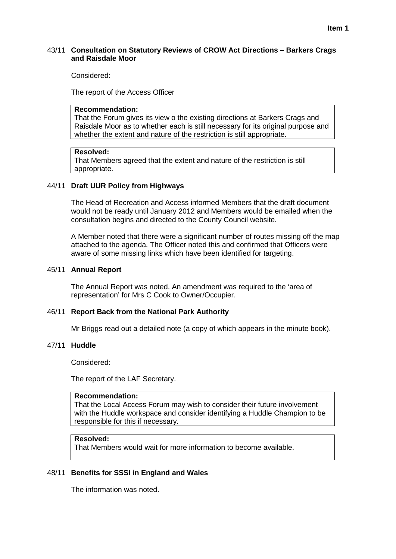#### 43/11 **Consultation on Statutory Reviews of CROW Act Directions – Barkers Crags and Raisdale Moor**

Considered:

The report of the Access Officer

#### **Recommendation:**

That the Forum gives its view o the existing directions at Barkers Crags and Raisdale Moor as to whether each is still necessary for its original purpose and whether the extent and nature of the restriction is still appropriate.

#### **Resolved:**

That Members agreed that the extent and nature of the restriction is still appropriate.

#### 44/11 **Draft UUR Policy from Highways**

The Head of Recreation and Access informed Members that the draft document would not be ready until January 2012 and Members would be emailed when the consultation begins and directed to the County Council website.

A Member noted that there were a significant number of routes missing off the map attached to the agenda. The Officer noted this and confirmed that Officers were aware of some missing links which have been identified for targeting.

#### 45/11 **Annual Report**

The Annual Report was noted. An amendment was required to the 'area of representation' for Mrs C Cook to Owner/Occupier.

#### 46/11 **Report Back from the National Park Authority**

Mr Briggs read out a detailed note (a copy of which appears in the minute book).

#### 47/11 **Huddle**

Considered:

The report of the LAF Secretary.

# **Recommendation:**

That the Local Access Forum may wish to consider their future involvement with the Huddle workspace and consider identifying a Huddle Champion to be responsible for this if necessary.

# **Resolved:**

That Members would wait for more information to become available.

# 48/11 **Benefits for SSSI in England and Wales**

The information was noted.